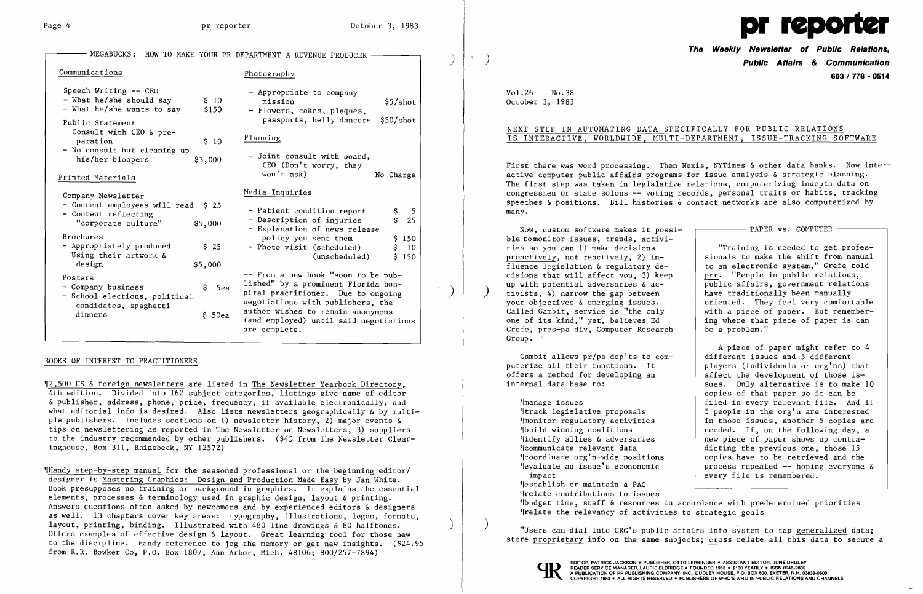)

| MEGABUCKS:                                                                                          |                 | HOW TO MAKE YOUR PR DEPARTMENT A REVENUE PRODUCER                                                                                                     |  |
|-----------------------------------------------------------------------------------------------------|-----------------|-------------------------------------------------------------------------------------------------------------------------------------------------------|--|
| Communications                                                                                      |                 | Photography                                                                                                                                           |  |
| Speech Writing -- CEO<br>- What he/she should say<br>- What he/she wants to say<br>Public Statement | \$10<br>\$150   | - Appropriate to company<br>mission<br>\$5/shot<br>- Flowers, cakes, plaques,<br>passports, belly dancers<br>\$50/shot                                |  |
| - Consult with CEO & pre-<br>paration                                                               | \$10            | Planning                                                                                                                                              |  |
| - No consult but cleaning up<br>his/her bloopers                                                    | \$3,000         | - Joint consult with board,<br>CEO (Don't worry, they                                                                                                 |  |
| Printed Materials                                                                                   |                 | won't ask)<br>No Charge                                                                                                                               |  |
| Company Newsletter<br>- Content employees will read \$ 25                                           |                 | Media Inquiries                                                                                                                                       |  |
| - Content reflecting<br>"corporate culture"                                                         | \$5,000         | - Patient condition report<br>\$<br>5<br>\$<br>25<br>- Description of injuries<br>- Explanation of news release                                       |  |
| <b>Brochures</b><br>- Appropriately produced<br>- Using their artwork &<br>design                   | \$25<br>\$5,000 | policy you sent them<br>\$150<br>- Photo visit (scheduled)<br>\$<br>10<br>(unscheduled)<br>\$150                                                      |  |
| Posters<br>- Company business<br>- School elections, political<br>candidates, spaghetti<br>dinners  | \$.<br>5ea      | -- From a new book "soon to be pub-<br>lished" by a prominent Florida hos-<br>pital practitioner. Due to ongoing<br>negotiations with publishers, the |  |
|                                                                                                     | \$50ea          | author wishes to remain anonymous<br>(and employed) until said negotiations<br>are complete.                                                          |  |

# BOOKS OF INTEREST TO PRACTITIONERS

'[2,500 US & foreign newsletters are listed in The Newsletter Yearbook Directory, 4th edition. Divided into 162 subject categories, listings give name of editor & publisher, address, phone, price, frequency, if available electronically, and what editorial info is desired. Also lists newsletters geographically & by multiple publishers. Includes sections on 1) newsletter history, 2) major events & tips on newslettering as reported in The Newsletter on Newsletters, 3) suppliers to the industry recommended by other publishers. (\$45 from The Newsletter Clearinghouse, Box 311, Rhinebeck, NY 12572)

 "Training is needed to get professionals to make the shift from manual public affairs, government relations<br>have traditionally been manually oriented. They feel very comfortable ing where that piece of paper is can<br>be a problem."

A piece of paper might refer to 4<br>different issues and 5 different players (individuals or org'ns) that sues. Only alternative is to make 10 copies of that paper so it can be ~Imanage issues filed in every relevant file. And if The firm is people in the org'n are interested  $\frac{1}{2}$  5 people in the org'n are interested 'Imonitor regulatory activities in those issues, another 5 copies are .build winning coalitions needed. If, on the following day, a % | identify allies & adversaries | new piece of paper shows up contra-<br>(icommunicate relevant data dicting the previous one, those 15 dicting the previous one, those 15  $\frac{1}{2}$  (coordinate org'n-wide positions  $\frac{1}{2}$  copies have to be retrieved and the servence of the process repeated  $\frac{1}{2}$  - hoping everyone process repeated  $--$  hoping everyone &

Now, custom software makes it possi- $\Box$  PAPER vs. COMPUTER  $\Box$ ble tomonitor issues, trends, activi ties so you can 1) make decisions<br>proactively, not reactively, 2) in- $\frac{1}{2}$  fluence legislation & regulatory de-  $\vert$  to an electronic system," Grefe told cisions that will affect you, 3) keep  $\left\{\begin{array}{ccc} prr. & "People in public relation, \\ ppr. & \text{public affairs, government relation} \end{array}\right.$ tivists, 4) narrow the gap between<br>your objectives  $\&$  emerging issues. Called Gambit, service is "the only  $\begin{array}{c|c} \n\text{with a piece of paper.} \n\end{array}$  But remember-<br>one of its kind," yet, believes Ed ing where that piece of paper is can Grefe, pres-pa div, Computer Research Group.

Gambit allows pr/pa dep'ts to com-<br>puterize all their functions. It offers a method for developing an <br>internal data base to:<br>sues. Only alternative is to make

'IHandy step-by-step manual for the seasoned professional or the beginning editor/ designer is Mastering Graphics: Design and Production Made Easy by Jan White. Book presupposes no training or background in graphics. It explains the essential elements, processes & terminology used in graphic design, layout & printing. Answers questions often asked by newcomers and by experienced editors & designers as well. 13 chapters cover key areas: typography, illustrations, logos, formats, layout, printing, binding. Illustrated with 480 line drawings & 80 halftones. Offers examples of effective design & layout. Great learning tool for those new to the discipline. Handy reference to jog the memory or get new insights. (\$24.95 from R.R. Bowker Co, P.O. Box 1807, Ann Arbor, Mich. 48106; 800/257-7894)

impact every file is remembered. ~restablish or maintain a PAC *S*irelate contributions to issues

~rbudget time, staff & resources in accordance with predetermined priorities Irelate the relevancy of activities to strategic goals



**The Weekly Newsletter of Public Relations,**  ) **Public Affairs & Communication 603/778 - 0514** 

Vol. 26 No. 38 October 3, 1983

# NEXT STEP IN AUTOMATING DATA SPECIFICALLY FOR PUBLIC RELATIONS IS INTERACTIVE, WORLDWIDE, MULTI-DEPARTMENT, ISSUE-TRACKING SOFTWARE

First there was word processing. Then Nexis, NYTimes & other data banks. Now interactive computer public affairs programs for issue analysis & strategic planning. The first step was taken in legislative relations, computerizing indepth data on congressmen or state solons -- voting records, personal traits or habits, tracking speeches & positions. Bill histories & contact networks are also computerized by many.

) "Users can dial into CRG's public affairs info system to tap generalized data; store proprietary info on the same subjects; cross relate all this data to secure a